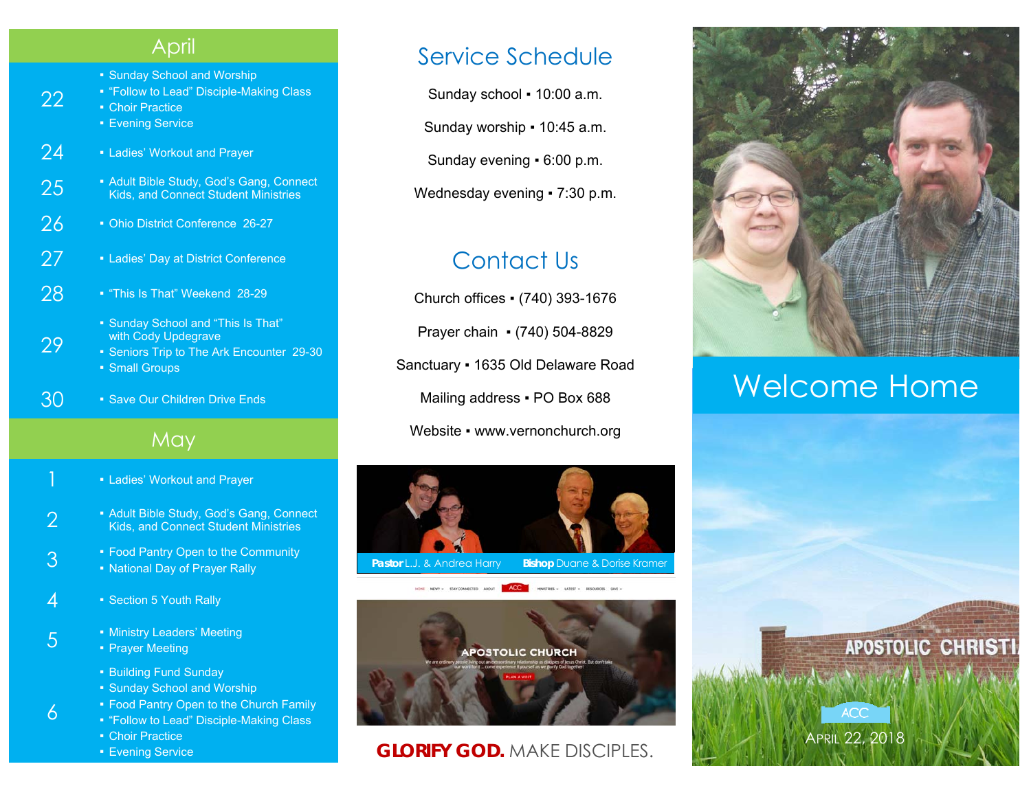#### April

- Sunday School and Worship
- "Follow to Lead" Disciple-Making Class
- Choir Practice

22

29

6

- Evening Service
- 24 Ladies' Workout and Prayer
- **25** Adult Bible Study, God's Gang, Connect Student Ministries
- 26 Ohio District Conference 26-27
- 27 Ladies' Day at District Conference
- 28 "This Is That" Weekend 28-29
	- **Sunday School and "This Is That"** with Cody Updegrave
	- Seniors Trip to The Ark Encounter 29-30 ■ Small Groups
- 30 Save Our Children Drive Ends

#### May

- **E** Ladies' Workout and Prayer
- <sup>2</sup> Adult Bible Study, God's Gang, Connect Kids, and Connect Student Ministries
- <sup>•</sup> Food Pantry Open to the Community<br>
<sup>1</sup> **National Day of Prayer Rally**
- $4 \cdot$  Section 5 Youth Rally
- 5 **Exercise Exercise Engineering**<br>5 **Proper Meeting** 
	- Prayer Meeting
		- Building Fund Sunday
		- Sunday School and Worship
		- **Food Pantry Open to the Church Family**
		- "Follow to Lead" Disciple-Making Class
		- Choir Practice
		- **Evening Service**

#### Service Schedule

Sunday school ▪ 10:00 a.m.

Sunday worship ▪ 10:45 a.m.

Sunday evening ▪ 6:00 p.m.

Wednesday evening • 7:30 p.m.

### Contact Us

Church offices ▪ (740) 393-1676 Prayer chain ▪ (740) 504-8829 Sanctuary ▪ 1635 Old Delaware Road Mailing address . PO Box 688 Website • www.vernonchurch.org





#### **GLORIFY GOD.** MAKE DISCIPLES.



## Welcome Home

APRIL 22, 2018

**ACC**